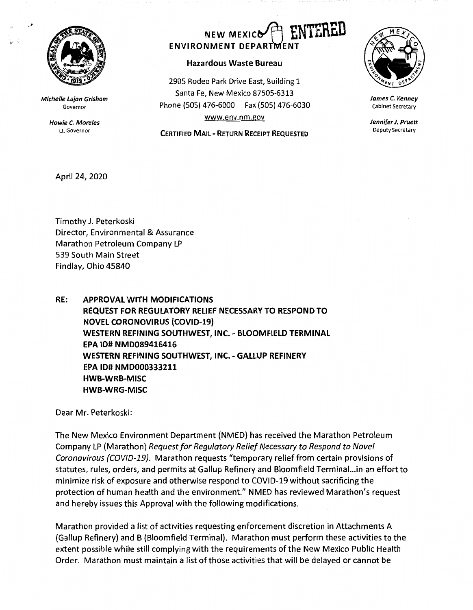

,, .

**Michelle Lujan Grisham**  Governor

> **Howie C. Morales**  Lt. Governor

## **NEW MEXICO ENVIRONMENT DEPARTMENT**

## **Hazardous Waste Bureau**

2905 Rodeo Park Drive East, Building 1 Santa Fe, New Mexico 87505-6313 Phone (SOS} 476-6000 Fax (SOS} 476-6030 www.env.nm.gov

**CERTIFIED MAIL** - **RETURN RECEIPT REQUESTED** 



**James** C. **Kenney**  Cabinet Secretary

**Jennifer J. Pruett**  Deputy Secretary

April 24, 2020

Timothy J. Peterkoski Director, Environmental & Assurance Marathon Petroleum Company LP 539 South Main Street Findlay, Ohio 45840

**RE: APPROVAL WITH MODIFICATIONS REQUEST FOR REGULATORY RELIEF NECESSARY TO RESPOND TO NOVEL CORONOVIRUS (COVID-19) WESTERN REFINING SOUTHWEST, INC.** - **BLOOMFIELD TERMINAL EPA ID# NMD089416416 WESTERN REFINING SOUTHWEST, INC.** - **GALLUP REFINERY EPA** ID# **NMD000333211 HWB-WRB-MISC HWB-WRG-MISC** 

Dear Mr. Peterkoski:

The New Mexico Environment Department (NMED) has received the Marathon Petroleum Company LP (Marathon) Request for Regulatory Relief Necessary to Respond to Novel Coronavirous (COV/D-19}. Marathon requests "temporary relief from certain provisions of statutes., rules, orders, and permits at Gallup Refinery and Bloomfield Terminal...in an effort to minimize risk of exposure and otherwise respond to COVID-19 without sacrificing the protection of human health and the environment." NMED has reviewed Marathon's request and hereby issues this Approval with the following modifications.

Marathon provided a list of activities requesting enforcement discretion in Attachments A (Gallup Refinery) and B (Bloomfield Terminal). Marathon must perform these activities to the extent possible while still complying with the requirements of the New Mexico Public Health Order. Marathon must maintain a list of those activities that will be delayed or cannot be